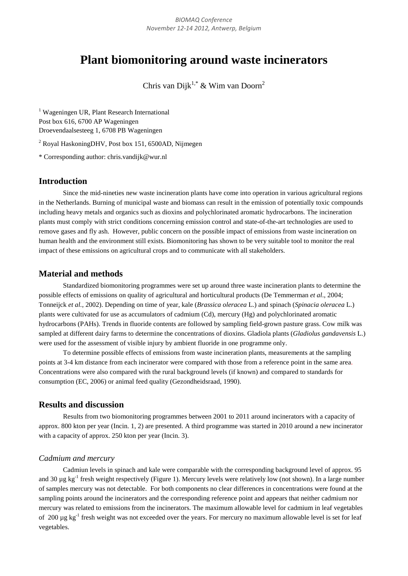# **Plant biomonitoring around waste incinerators**

Chris van Dijk<sup>1,\*</sup> & Wim van Doorn<sup>2</sup>

<sup>1</sup> Wageningen UR, Plant Research International Post box 616, 6700 AP Wageningen Droevendaalsesteeg 1, 6708 PB Wageningen

<sup>2</sup> Royal HaskoningDHV, Post box 151, 6500AD, Nijmegen

\* Corresponding author: chris.vandijk@wur.nl

# **Introduction**

Since the mid-nineties new waste incineration plants have come into operation in various agricultural regions in the Netherlands. Burning of municipal waste and biomass can result in the emission of potentially toxic compounds including heavy metals and organics such as dioxins and polychlorinated aromatic hydrocarbons. The incineration plants must comply with strict conditions concerning emission control and state-of-the-art technologies are used to remove gases and fly ash. However, public concern on the possible impact of emissions from waste incineration on human health and the environment still exists. Biomonitoring has shown to be very suitable tool to monitor the real impact of these emissions on agricultural crops and to communicate with all stakeholders.

### **Material and methods**

Standardized biomonitoring programmes were set up around three waste incineration plants to determine the possible effects of emissions on quality of agricultural and horticultural products (De Temmerman *et al*., 2004; Tonneijck *et al.*, 2002). Depending on time of year, kale (*Brassica oleracea* L.) and spinach (*Spinacia oleracea* L.) plants were cultivated for use as accumulators of cadmium (Cd), mercury (Hg) and polychlorinated aromatic hydrocarbons (PAHs). Trends in fluoride contents are followed by sampling field-grown pasture grass. Cow milk was sampled at different dairy farms to determine the concentrations of dioxins. Gladiola plants (*Gladiolus gandavensis* L.) were used for the assessment of visible injury by ambient fluoride in one programme only.

To determine possible effects of emissions from waste incineration plants, measurements at the sampling points at 3-4 km distance from each incinerator were compared with those from a reference point in the same area. Concentrations were also compared with the rural background levels (if known) and compared to standards for consumption (EC, 2006) or animal feed quality (Gezondheidsraad, 1990).

## **Results and discussion**

Results from two biomonitoring programmes between 2001 to 2011 around incinerators with a capacity of approx. 800 kton per year (Incin. 1, 2) are presented. A third programme was started in 2010 around a new incinerator with a capacity of approx. 250 kton per year (Incin. 3).

#### *Cadmium and mercury*

Cadmiun levels in spinach and kale were comparable with the corresponding background level of approx. 95 and 30  $\mu$ g kg<sup>-1</sup> fresh weight respectively (Figure 1). Mercury levels were relatively low (not shown). In a large number of samples mercury was not detectable. For both components no clear differences in concentrations were found at the sampling points around the incinerators and the corresponding reference point and appears that neither cadmium nor mercury was related to emissions from the incinerators. The maximum allowable level for cadmium in leaf vegetables of 200 µg kg<sup>-1</sup> fresh weight was not exceeded over the years. For mercury no maximum allowable level is set for leaf vegetables.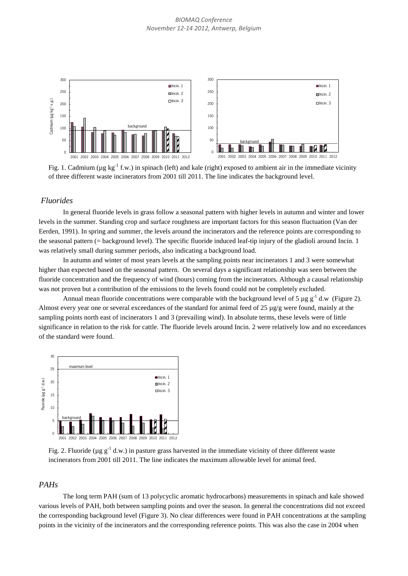

Fig. 1. Cadmium ( $\mu$ g kg<sup>-1</sup> f.w.) in spinach (left) and kale (right) exposed to ambient air in the immediate vicinity of three different waste incinerators from 2001 till 2011. The line indicates the background level.

#### *Fluorides*

In general fluoride levels in grass follow a seasonal pattern with higher levels in autumn and winter and lower levels in the summer. Standing crop and surface roughness are important factors for this season fluctuation (Van der Eerden, 1991). In spring and summer, the levels around the incinerators and the reference points are corresponding to the seasonal pattern (= background level). The specific fluoride induced leaf-tip injury of the gladioli around Incin. 1 was relatively small during summer periods, also indicating a background load.

In autumn and winter of most years levels at the sampling points near incinerators 1 and 3 were somewhat higher than expected based on the seasonal pattern. On several days a significant relationship was seen between the fluoride concentration and the frequency of wind (hours) coming from the incinerators. Although a causal relationship was not proven but a contribution of the emissions to the levels found could not be completely excluded.

Annual mean fluoride concentrations were comparable with the background level of 5 µg  $g^{-1}$  d.w (Figure 2). Almost every year one or several exceedances of the standard for animal feed of 25  $\mu$ g/g were found, mainly at the sampling points north east of incinerators 1 and 3 (prevailing wind). In absolute terms, these levels were of little significance in relation to the risk for cattle. The fluoride levels around Incin. 2 were relatively low and no exceedances of the standard were found.



Fig. 2. Fluoride ( $\mu$ g g<sup>-1</sup> d.w.) in pasture grass harvested in the immediate vicinity of three different waste incinerators from 2001 till 2011. The line indicates the maximum allowable level for animal feed.

## *PAHs*

The long term PAH (sum of 13 polycyclic aromatic hydrocarbons) measurements in spinach and kale showed various levels of PAH, both between sampling points and over the season. In general the concentrations did not exceed the corresponding background level (Figure 3). No clear differences were found in PAH concentrations at the sampling points in the vicinity of the incinerators and the corresponding reference points. This was also the case in 2004 when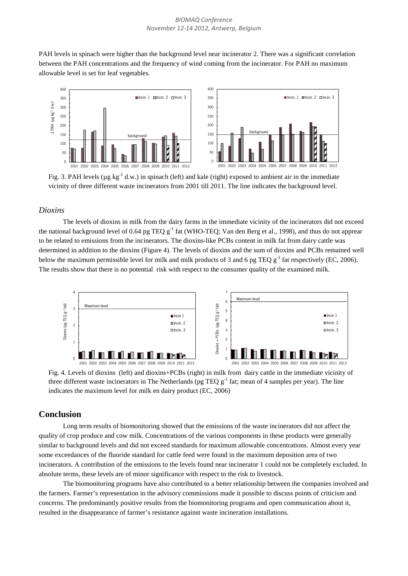PAH levels in spinach were higher than the background level near incinerator 2. There was a significant correlation between the PAH concentrations and the frequency of wind coming from the incinerator. For PAH no maximum allowable level is set for leaf vegetables.



Fig. 3. PAH levels ( $\mu$ g kg<sup>-1</sup> d.w.) in spinach (left) and kale (right) exposed to ambient air in the immediate vicinity of three different waste incinerators from 2001 till 2011. The line indicates the background level.

#### *Dioxins*

The levels of dioxins in milk from the dairy farms in the immediate vicinity of the incinerators did not exceed the national background level of 0.64 pg TEQ  $g^{-1}$  fat (WHO-TEQ; Van den Berg et al., 1998), and thus do not apprear to be related to emissions from the incinerators. The dioxins-like PCBs content in milk fat from dairy cattle was determined in addition to the dioxins (Figure 4). The levels of dioxins and the sum of dioxins and PCBs remained well below the maximum permissible level for milk and milk products of 3 and 6 pg TEQ  $g^{-1}$  fat respectively (EC, 2006). The results show that there is no potential risk with respect to the consumer quality of the examined milk.



Fig. 4. Levels of dioxins (left) and dioxins+PCBs (right) in milk from dairy cattle in the immediate vicinity of three different waste incinerators in The Netherlands (pg TEQ  $g^{-1}$  fat; mean of 4 samples per year). The line indicates the maximum level for milk en dairy product (EC, 2006)

#### **Conclusion**

Long term results of biomonitoring showed that the emissions of the waste incinerators did not affect the quality of crop produce and cow milk. Concentrations of the various components in these products were generally similar to background levels and did not exceed standards for maximum allowable concentrations. Almost every year some exceedances of the fluoride standard for cattle feed were found in the maximum deposition area of two incinerators. A contribution of the emissions to the levels found near incinerator 1 could not be completely excluded. In absolute terms, these levels are of minor significance with respect to the risk to livestock.

The biomonitoring programs have also contributed to a better relationship between the companies involved and the farmers. Farmer's representation in the advisory commissions made it possible to discuss points of criticism and concerns. The predominantly positive results from the biomonitoring programs and open communication about it, resulted in the disappearance of farmer's resistance against waste incineration installations.